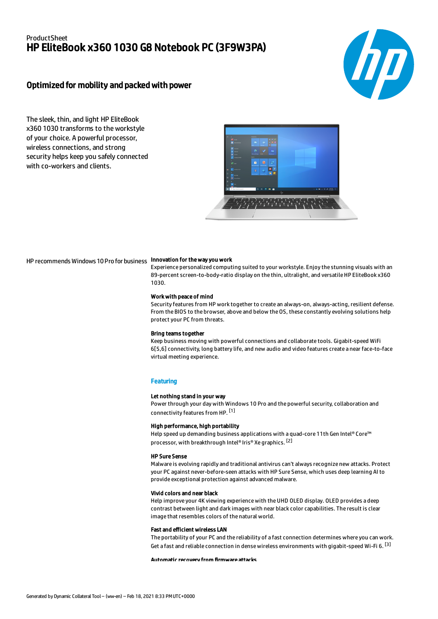## **ProductSheet** HP EliteBook x360 1030 G8 Notebook PC (3F9W3PA)



## Optimized for mobility and packed with power

The sleek, thin, and light HP EliteBook x360 1030 transforms to the workstyle of your choice. A powerful processor, wireless connections, and strong security helps keep you safely connected with co-workers and clients.



## HP recommends Windows 10 Pro for business **Innovation for the way you work**

Experience personalized computing suited to your workstyle. Enjoy the stunning visuals with an 89-percent screen-to-body-ratio display on the thin, ultralight, and versatile HP EliteBook x360 1030.

#### Work with peace of mind

Security features from HP work together to create an always-on, always-acting, resilient defense. From the BIOS to the browser, above and below the OS, these constantly evolving solutions help protect your PC from threats.

#### Bring teams together

Keep business moving with powerful connections and collaborate tools. Gigabit-speed WiFi 6[5,6] connectivity, long battery life, and new audio and video features create a near face-to-face virtual meeting experience.

### **Featuring**

#### Let nothing stand in your way

Power through your day with Windows 10 Pro and the powerful security, collaboration and connectivity features from HP. [1]

#### High performance, high portability

Help speed up demanding business applications with a quad-core 11th Gen Intel® Core™ processor, with breakthrough Intel® Iris® Xe graphics. <sup>[2]</sup>

### HP Sure Sense

Malware is evolving rapidly and traditional antivirus can't always recognize new attacks. Protect your PC against never-before-seen attacks with HP Sure Sense, which uses deep learning AI to provide exceptional protection against advanced malware.

#### Vivid colors and near black

Help improve your 4K viewing experience with the UHD OLED display. OLED provides a deep contrast between light and dark images with near black color capabilities. The result is clear image that resembles colors of the natural world.

#### Fast and efficient wireless LAN

The portability of your PC and the reliability of a fast connection determines where you can work. Get a fast and reliable connection in dense wireless environments with gigabit-speed Wi-Fi 6. [3]

Automatic recovery from firmware attacks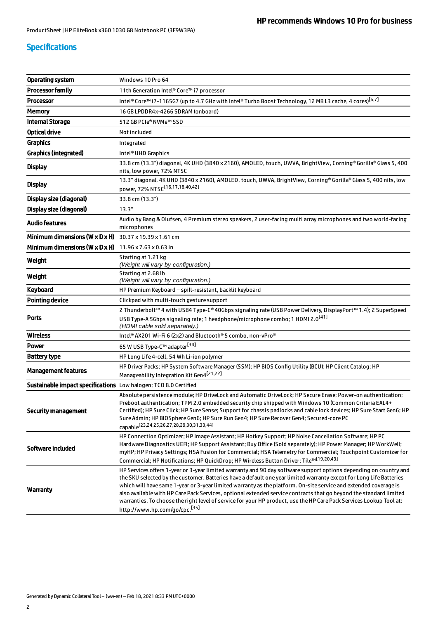## Specifications

| Operating system                                                          | Windows 10 Pro 64                                                                                                                                                                                                                                                                                                                                                                                                                                                                                                                                                                                                                                      |  |
|---------------------------------------------------------------------------|--------------------------------------------------------------------------------------------------------------------------------------------------------------------------------------------------------------------------------------------------------------------------------------------------------------------------------------------------------------------------------------------------------------------------------------------------------------------------------------------------------------------------------------------------------------------------------------------------------------------------------------------------------|--|
| <b>Processor family</b>                                                   | 11th Generation Intel® Core™ i7 processor                                                                                                                                                                                                                                                                                                                                                                                                                                                                                                                                                                                                              |  |
| <b>Processor</b>                                                          | Intel® Core™ i7-1165G7 (up to 4.7 GHz with Intel® Turbo Boost Technology, 12 MB L3 cache, 4 cores) <sup>[6,7]</sup>                                                                                                                                                                                                                                                                                                                                                                                                                                                                                                                                    |  |
| <b>Memory</b>                                                             | 16 GB LPDDR4x-4266 SDRAM (onboard)                                                                                                                                                                                                                                                                                                                                                                                                                                                                                                                                                                                                                     |  |
| <b>Internal Storage</b>                                                   | 512 GB PCIe® NVMe™ SSD                                                                                                                                                                                                                                                                                                                                                                                                                                                                                                                                                                                                                                 |  |
| <b>Optical drive</b>                                                      | Not included                                                                                                                                                                                                                                                                                                                                                                                                                                                                                                                                                                                                                                           |  |
| <b>Graphics</b>                                                           | Integrated                                                                                                                                                                                                                                                                                                                                                                                                                                                                                                                                                                                                                                             |  |
| <b>Graphics (integrated)</b>                                              | Intel <sup>®</sup> UHD Graphics                                                                                                                                                                                                                                                                                                                                                                                                                                                                                                                                                                                                                        |  |
| <b>Display</b>                                                            | 33.8 cm (13.3") diagonal, 4K UHD (3840 x 2160), AMOLED, touch, UWVA, BrightView, Corning® Gorilla® Glass 5, 400<br>nits, low power, 72% NTSC                                                                                                                                                                                                                                                                                                                                                                                                                                                                                                           |  |
| <b>Display</b>                                                            | 13.3" diagonal, 4K UHD (3840 x 2160), AMOLED, touch, UWVA, BrightView, Corning® Gorilla® Glass 5, 400 nits, low<br>power, 72% NTSC <sup>[16,17,18,40,42]</sup>                                                                                                                                                                                                                                                                                                                                                                                                                                                                                         |  |
| Display size (diagonal)                                                   | 33.8 cm (13.3")                                                                                                                                                                                                                                                                                                                                                                                                                                                                                                                                                                                                                                        |  |
| Display size (diagonal)                                                   | 13.3"                                                                                                                                                                                                                                                                                                                                                                                                                                                                                                                                                                                                                                                  |  |
| <b>Audio features</b>                                                     | Audio by Bang & Olufsen, 4 Premium stereo speakers, 2 user-facing multi array microphones and two world-facing<br>microphones                                                                                                                                                                                                                                                                                                                                                                                                                                                                                                                          |  |
| <b>Minimum dimensions (W x D x H)</b> $30.37 \times 19.39 \times 1.61$ cm |                                                                                                                                                                                                                                                                                                                                                                                                                                                                                                                                                                                                                                                        |  |
| <b>Minimum dimensions (W x D x H)</b> $11.96 \times 7.63 \times 0.63$ in  |                                                                                                                                                                                                                                                                                                                                                                                                                                                                                                                                                                                                                                                        |  |
| Weight                                                                    | Starting at 1.21 kg<br>(Weight will vary by configuration.)                                                                                                                                                                                                                                                                                                                                                                                                                                                                                                                                                                                            |  |
| Weight                                                                    | Starting at 2.68 lb<br>(Weight will vary by configuration.)                                                                                                                                                                                                                                                                                                                                                                                                                                                                                                                                                                                            |  |
| Keyboard                                                                  | HP Premium Keyboard - spill-resistant, backlit keyboard                                                                                                                                                                                                                                                                                                                                                                                                                                                                                                                                                                                                |  |
| <b>Pointing device</b>                                                    | Clickpad with multi-touch gesture support                                                                                                                                                                                                                                                                                                                                                                                                                                                                                                                                                                                                              |  |
| <b>Ports</b>                                                              | 2 Thunderbolt™ 4 with USB4 Type-C® 40Gbps signaling rate (USB Power Delivery, DisplayPort™ 1.4); 2 SuperSpeed<br>USB Type-A 5Gbps signaling rate; 1 headphone/microphone combo; 1 HDMI 2.0 <sup>[41]</sup><br>(HDMI cable sold separately.)                                                                                                                                                                                                                                                                                                                                                                                                            |  |
| <b>Wireless</b>                                                           | Intel® AX201 Wi-Fi 6 (2x2) and Bluetooth® 5 combo, non-vPro®                                                                                                                                                                                                                                                                                                                                                                                                                                                                                                                                                                                           |  |
| Power                                                                     | 65 W USB Type-C™ adapter <sup>[34]</sup>                                                                                                                                                                                                                                                                                                                                                                                                                                                                                                                                                                                                               |  |
| <b>Battery type</b>                                                       | HP Long Life 4-cell, 54 Wh Li-ion polymer                                                                                                                                                                                                                                                                                                                                                                                                                                                                                                                                                                                                              |  |
| <b>Management features</b>                                                | HP Driver Packs; HP System Software Manager (SSM); HP BIOS Config Utility (BCU); HP Client Catalog; HP<br>Manageability Integration Kit Gen4[21,22]                                                                                                                                                                                                                                                                                                                                                                                                                                                                                                    |  |
| Sustainable impact specifications Low halogen; TCO 8.0 Certified          |                                                                                                                                                                                                                                                                                                                                                                                                                                                                                                                                                                                                                                                        |  |
| <b>Security management</b>                                                | Absolute persistence module; HP DriveLock and Automatic DriveLock; HP Secure Erase; Power-on authentication;<br>Preboot authentication; TPM 2.0 embedded security chip shipped with Windows 10 (Common Criteria EAL4+<br>Certified); HP Sure Click; HP Sure Sense; Support for chassis padlocks and cable lock devices; HP Sure Start Gen6; HP<br>Sure Admin; HP BIOSphere Gen6; HP Sure Run Gen4; HP Sure Recover Gen4; Secured-core PC<br>capable <sup>[23,24,25,26,27,28,29,30,31,33,44]</sup>                                                                                                                                                      |  |
| Software included                                                         | HP Connection Optimizer; HP Image Assistant; HP Hotkey Support; HP Noise Cancellation Software; HP PC<br>Hardware Diagnostics UEFI; HP Support Assistant; Buy Office (Sold separately); HP Power Manager; HP WorkWell;<br>myHP; HP Privacy Settings; HSA Fusion for Commercial; HSA Telemetry for Commercial; Touchpoint Customizer for<br>Commercial; HP Notifications; HP QuickDrop; HP Wireless Button Driver; Tile™ [19,20,43]                                                                                                                                                                                                                     |  |
| Warranty                                                                  | HP Services offers 1-year or 3-year limited warranty and 90 day software support options depending on country and<br>the SKU selected by the customer. Batteries have a default one year limited warranty except for Long Life Batteries<br>which will have same 1-year or 3-year limited warranty as the platform. On-site service and extended coverage is<br>also available with HP Care Pack Services, optional extended service contracts that go beyond the standard limited<br>warranties. To choose the right level of service for your HP product, use the HP Care Pack Services Lookup Tool at:<br>http://www.hp.com/go/cpc. <sup>[35]</sup> |  |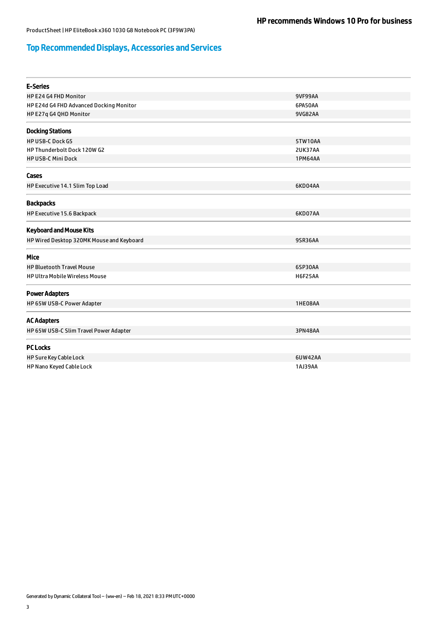# Top Recommended Displays, Accessories and Services

| <b>E-Series</b>                           |                |
|-------------------------------------------|----------------|
| HP E24 G4 FHD Monitor                     | <b>9VF99AA</b> |
| HP E24d G4 FHD Advanced Docking Monitor   | 6PA50AA        |
| HP E27q G4 QHD Monitor                    | 9VG82AA        |
| <b>Docking Stations</b>                   |                |
| <b>HP USB-C Dock G5</b>                   | 5TW10AA        |
| HP Thunderbolt Dock 120W G2               | 2UK37AA        |
| <b>HP USB-C Mini Dock</b>                 | 1PM64AA        |
| Cases                                     |                |
| HP Executive 14.1 Slim Top Load           | 6KD04AA        |
| <b>Backpacks</b>                          |                |
| HP Executive 15.6 Backpack                | 6KD07AA        |
| <b>Keyboard and Mouse Kits</b>            |                |
| HP Wired Desktop 320MK Mouse and Keyboard | 95R36AA        |
| Mice                                      |                |
| <b>HP Bluetooth Travel Mouse</b>          | 6SP30AA        |
| <b>HP Ultra Mobile Wireless Mouse</b>     | <b>H6F25AA</b> |
| <b>Power Adapters</b>                     |                |
| HP 65W USB-C Power Adapter                | 1HE08AA        |
| <b>AC Adapters</b>                        |                |
| HP 65W USB-C Slim Travel Power Adapter    | 3PN48AA        |
| <b>PC Locks</b>                           |                |
| HP Sure Key Cable Lock                    | 6UW42AA        |
| HP Nano Keyed Cable Lock                  | 1AJ39AA        |